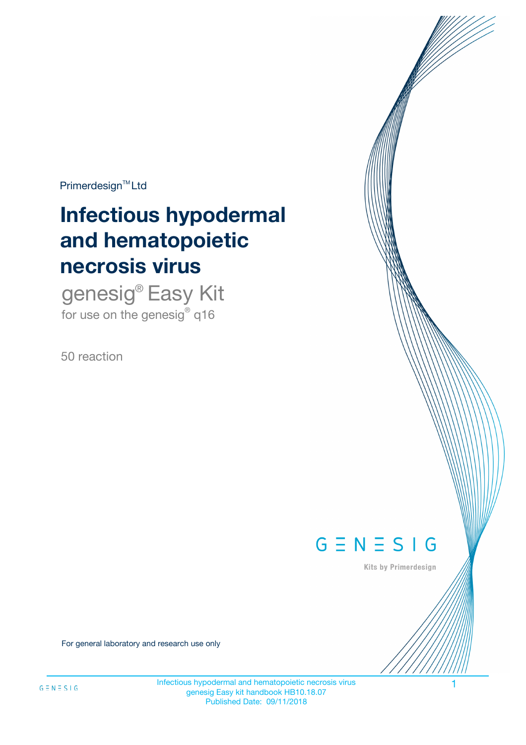$Primerdesign^{\text{TM}}Ltd$ 

# **Infectious hypodermal and hematopoietic necrosis virus**

genesig® Easy Kit for use on the genesig $^{\circ}$  q16

50 reaction



Kits by Primerdesign

For general laboratory and research use only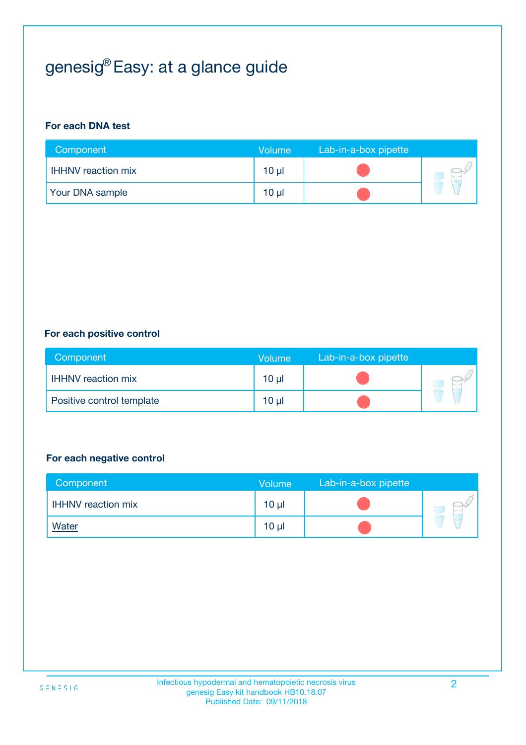# genesig® Easy: at a glance guide

#### **For each DNA test**

| Component                 | <b>Volume</b> | Lab-in-a-box pipette |  |
|---------------------------|---------------|----------------------|--|
| <b>IHHNV</b> reaction mix | $10 \mu$      |                      |  |
| <b>Your DNA sample</b>    | $10 \mu$      |                      |  |

#### **For each positive control**

| Component                 | Volume          | Lab-in-a-box pipette |  |
|---------------------------|-----------------|----------------------|--|
| <b>HHNV</b> reaction mix  | 10 <sub>µ</sub> |                      |  |
| Positive control template | $10 \mu$        |                      |  |

#### **For each negative control**

| Component                 | <b>Volume</b>   | Lab-in-a-box pipette |  |
|---------------------------|-----------------|----------------------|--|
| <b>IHHNV</b> reaction mix | 10 <sub>µ</sub> |                      |  |
| <b>Water</b>              | 10 <sub>µ</sub> |                      |  |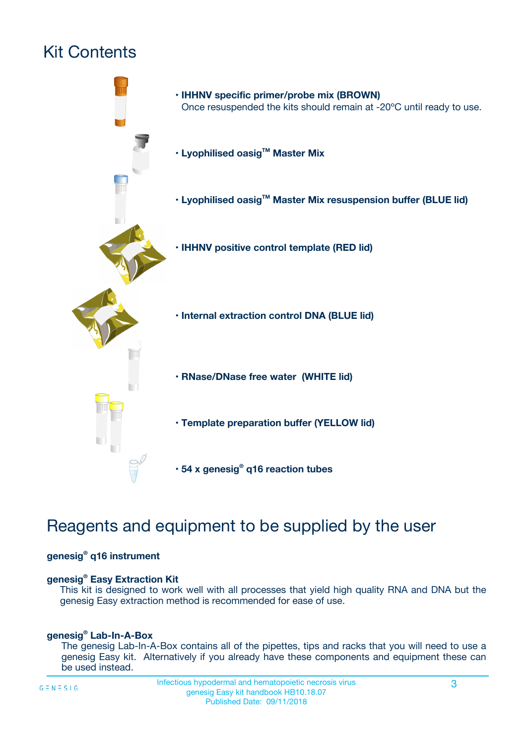# Kit Contents



# Reagents and equipment to be supplied by the user

#### **genesig® q16 instrument**

#### **genesig® Easy Extraction Kit**

This kit is designed to work well with all processes that yield high quality RNA and DNA but the genesig Easy extraction method is recommended for ease of use.

#### **genesig® Lab-In-A-Box**

The genesig Lab-In-A-Box contains all of the pipettes, tips and racks that you will need to use a genesig Easy kit. Alternatively if you already have these components and equipment these can be used instead.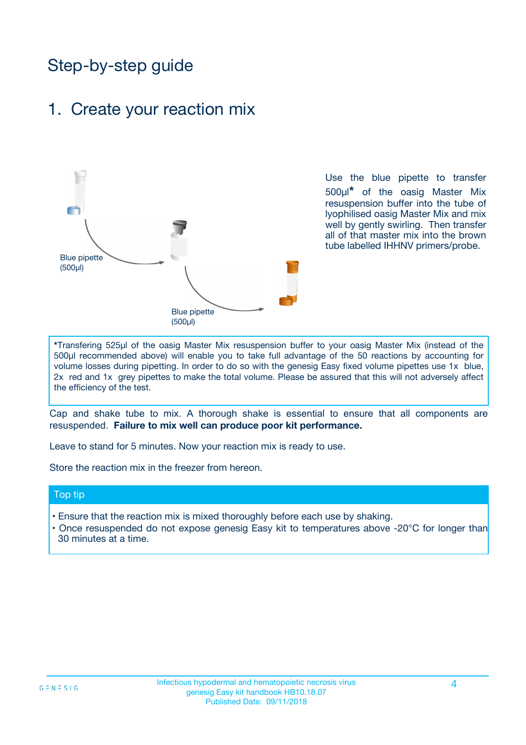# Step-by-step guide

### 1. Create your reaction mix



Use the blue pipette to transfer 500µl**\*** of the oasig Master Mix resuspension buffer into the tube of lyophilised oasig Master Mix and mix well by gently swirling. Then transfer all of that master mix into the brown tube labelled IHHNV primers/probe.

**\***Transfering 525µl of the oasig Master Mix resuspension buffer to your oasig Master Mix (instead of the 500µl recommended above) will enable you to take full advantage of the 50 reactions by accounting for volume losses during pipetting. In order to do so with the genesig Easy fixed volume pipettes use 1x blue, 2x red and 1x grey pipettes to make the total volume. Please be assured that this will not adversely affect the efficiency of the test.

Cap and shake tube to mix. A thorough shake is essential to ensure that all components are resuspended. **Failure to mix well can produce poor kit performance.**

Leave to stand for 5 minutes. Now your reaction mix is ready to use.

Store the reaction mix in the freezer from hereon.

#### Top tip

- Ensure that the reaction mix is mixed thoroughly before each use by shaking.
- **•** Once resuspended do not expose genesig Easy kit to temperatures above -20°C for longer than 30 minutes at a time.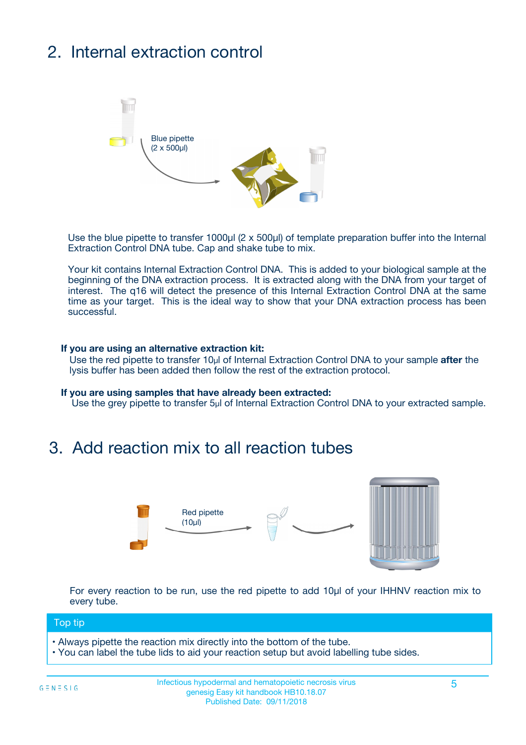# 2. Internal extraction control



Use the blue pipette to transfer 1000µl (2 x 500µl) of template preparation buffer into the Internal Extraction Control DNA tube. Cap and shake tube to mix.

Your kit contains Internal Extraction Control DNA. This is added to your biological sample at the beginning of the DNA extraction process. It is extracted along with the DNA from your target of interest. The q16 will detect the presence of this Internal Extraction Control DNA at the same time as your target. This is the ideal way to show that your DNA extraction process has been successful.

#### **If you are using an alternative extraction kit:**

Use the red pipette to transfer 10µl of Internal Extraction Control DNA to your sample **after** the lysis buffer has been added then follow the rest of the extraction protocol.

#### **If you are using samples that have already been extracted:**

Use the grey pipette to transfer 5µl of Internal Extraction Control DNA to your extracted sample.

## 3. Add reaction mix to all reaction tubes



For every reaction to be run, use the red pipette to add 10µl of your IHHNV reaction mix to every tube.

#### Top tip

- Always pipette the reaction mix directly into the bottom of the tube.
- You can label the tube lids to aid your reaction setup but avoid labelling tube sides.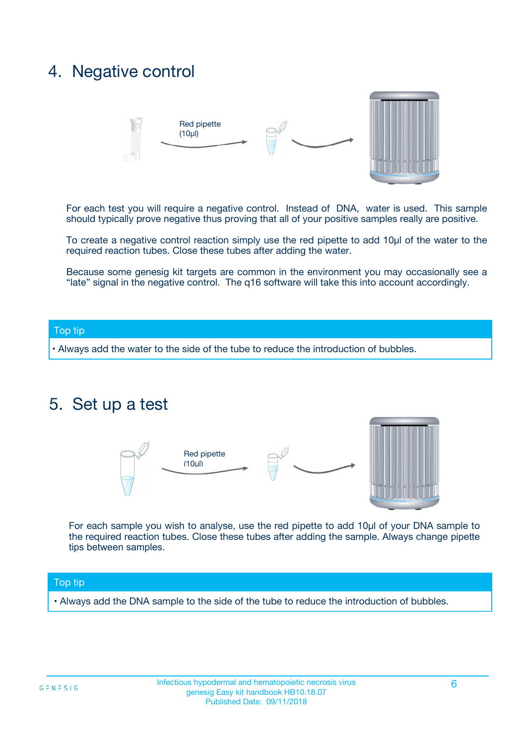## 4. Negative control



For each test you will require a negative control. Instead of DNA, water is used. This sample should typically prove negative thus proving that all of your positive samples really are positive.

To create a negative control reaction simply use the red pipette to add 10µl of the water to the required reaction tubes. Close these tubes after adding the water.

Because some genesig kit targets are common in the environment you may occasionally see a "late" signal in the negative control. The q16 software will take this into account accordingly.

#### Top tip

**•** Always add the water to the side of the tube to reduce the introduction of bubbles.

### 5. Set up a test



For each sample you wish to analyse, use the red pipette to add 10µl of your DNA sample to the required reaction tubes. Close these tubes after adding the sample. Always change pipette tips between samples.

#### Top tip

**•** Always add the DNA sample to the side of the tube to reduce the introduction of bubbles.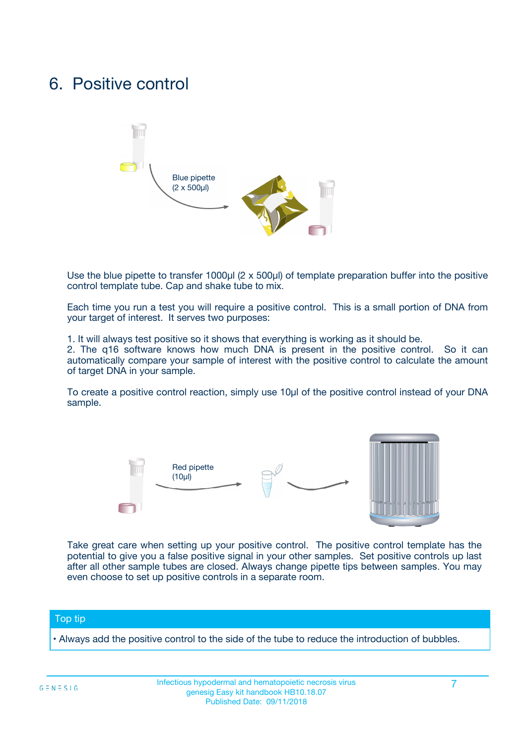## 6. Positive control



Use the blue pipette to transfer 1000µl (2 x 500µl) of template preparation buffer into the positive control template tube. Cap and shake tube to mix.

Each time you run a test you will require a positive control. This is a small portion of DNA from your target of interest. It serves two purposes:

1. It will always test positive so it shows that everything is working as it should be.

2. The q16 software knows how much DNA is present in the positive control. So it can automatically compare your sample of interest with the positive control to calculate the amount of target DNA in your sample.

To create a positive control reaction, simply use 10µl of the positive control instead of your DNA sample.



Take great care when setting up your positive control. The positive control template has the potential to give you a false positive signal in your other samples. Set positive controls up last after all other sample tubes are closed. Always change pipette tips between samples. You may even choose to set up positive controls in a separate room.

#### Top tip

**•** Always add the positive control to the side of the tube to reduce the introduction of bubbles.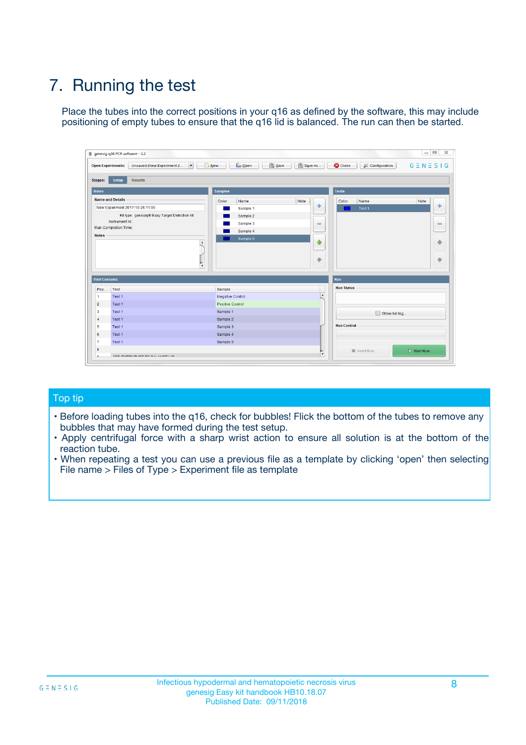# 7. Running the test

Place the tubes into the correct positions in your q16 as defined by the software, this may include positioning of empty tubes to ensure that the q16 lid is balanced. The run can then be started.

| genesig q16 PCR software - 1.2                                               |                                | $\begin{array}{c c c c} \hline \multicolumn{3}{c }{\textbf{0}} & \multicolumn{3}{c }{\textbf{0}} \end{array}$ |                              |
|------------------------------------------------------------------------------|--------------------------------|---------------------------------------------------------------------------------------------------------------|------------------------------|
| $\vert \cdot \vert$<br><b>Open Experiments:</b><br>Unsaved (New Experiment 2 | Open<br>Save<br>$\sqrt{9}$ New | Save As<br><b>C</b> Close<br>$G \equiv N \equiv S \mid G$<br><b>X</b> Configuration                           |                              |
| Setup<br><b>Results</b><br><b>Stages:</b>                                    |                                |                                                                                                               |                              |
| <b>Notes</b>                                                                 | <b>Samples</b>                 | <b>Tests</b>                                                                                                  |                              |
| <b>Name and Details</b>                                                      | Color<br>Name                  | Note<br>Color<br>Note<br>Name                                                                                 |                              |
| New Experiment 2017-10-26 11:06                                              | Sample 1                       | ÷<br>Test <sub>1</sub>                                                                                        | ÷                            |
| Kit type: genesig® Easy Target Detection kit                                 | Sample 2                       |                                                                                                               |                              |
| Instrument Id.:                                                              | Sample 3                       | $\qquad \qquad \blacksquare$                                                                                  | $\qquad \qquad \blacksquare$ |
| <b>Run Completion Time:</b>                                                  | Sample 4                       |                                                                                                               |                              |
| <b>Notes</b><br>A<br>⊺៴                                                      | Sample 5                       | $\triangle$<br>$\oplus$                                                                                       | 借<br>₩                       |
| <b>Well Contents</b>                                                         |                                | Run                                                                                                           |                              |
| Pos.<br><b>Test</b>                                                          | Sample                         | <b>Run Status</b>                                                                                             |                              |
| Test 1<br>-1                                                                 | <b>Negative Control</b>        | $\blacktriangle$                                                                                              |                              |
| $\overline{2}$<br>Test 1                                                     | <b>Positive Control</b>        |                                                                                                               |                              |
| 3<br>Test 1                                                                  | Sample 1                       | Show full log                                                                                                 |                              |
| Test 1<br>$\overline{4}$                                                     | Sample 2                       |                                                                                                               |                              |
| 5<br>Test 1                                                                  | Sample 3                       | <b>Run Control</b>                                                                                            |                              |
| Test 1<br>6                                                                  | Sample 4                       |                                                                                                               |                              |
| $\overline{7}$<br>Test 1                                                     | Sample 5                       |                                                                                                               |                              |
| 8                                                                            |                                | $\triangleright$ Start Run<br>Abort Run                                                                       |                              |
| <b>JOD FURTY TUDE TO BUILDED IN</b>                                          |                                | $\overline{\mathbf{v}}$                                                                                       |                              |

#### Top tip

- Before loading tubes into the q16, check for bubbles! Flick the bottom of the tubes to remove any bubbles that may have formed during the test setup.
- Apply centrifugal force with a sharp wrist action to ensure all solution is at the bottom of the reaction tube.
- When repeating a test you can use a previous file as a template by clicking 'open' then selecting File name > Files of Type > Experiment file as template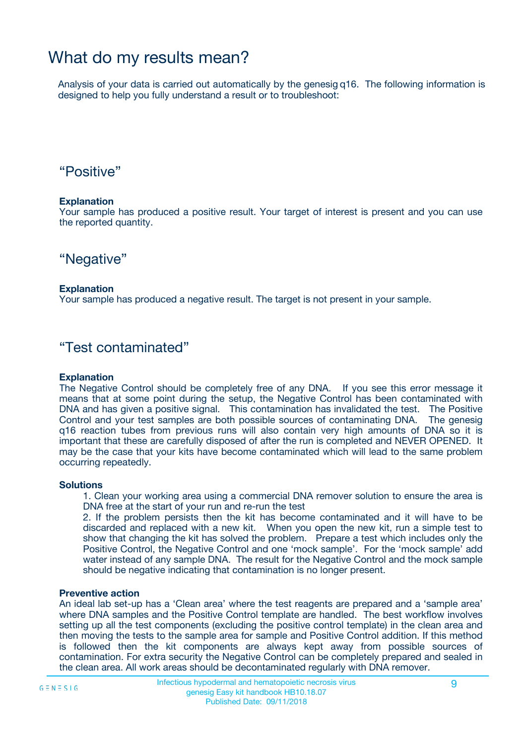## What do my results mean?

Analysis of your data is carried out automatically by the genesig q16. The following information is designed to help you fully understand a result or to troubleshoot:

### "Positive"

#### **Explanation**

Your sample has produced a positive result. Your target of interest is present and you can use the reported quantity.

"Negative"

#### **Explanation**

Your sample has produced a negative result. The target is not present in your sample.

### "Test contaminated"

#### **Explanation**

The Negative Control should be completely free of any DNA. If you see this error message it means that at some point during the setup, the Negative Control has been contaminated with DNA and has given a positive signal. This contamination has invalidated the test. The Positive Control and your test samples are both possible sources of contaminating DNA. The genesig q16 reaction tubes from previous runs will also contain very high amounts of DNA so it is important that these are carefully disposed of after the run is completed and NEVER OPENED. It may be the case that your kits have become contaminated which will lead to the same problem occurring repeatedly.

#### **Solutions**

1. Clean your working area using a commercial DNA remover solution to ensure the area is DNA free at the start of your run and re-run the test

2. If the problem persists then the kit has become contaminated and it will have to be discarded and replaced with a new kit. When you open the new kit, run a simple test to show that changing the kit has solved the problem. Prepare a test which includes only the Positive Control, the Negative Control and one 'mock sample'. For the 'mock sample' add water instead of any sample DNA. The result for the Negative Control and the mock sample should be negative indicating that contamination is no longer present.

#### **Preventive action**

An ideal lab set-up has a 'Clean area' where the test reagents are prepared and a 'sample area' where DNA samples and the Positive Control template are handled. The best workflow involves setting up all the test components (excluding the positive control template) in the clean area and then moving the tests to the sample area for sample and Positive Control addition. If this method is followed then the kit components are always kept away from possible sources of contamination. For extra security the Negative Control can be completely prepared and sealed in the clean area. All work areas should be decontaminated regularly with DNA remover.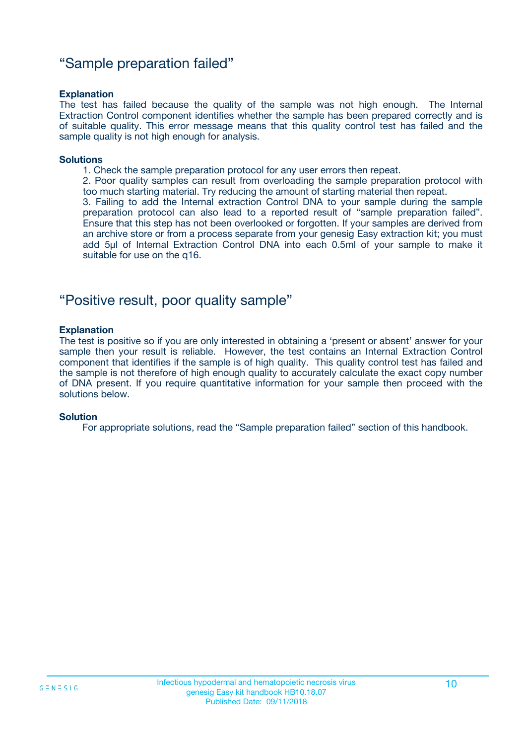### "Sample preparation failed"

#### **Explanation**

The test has failed because the quality of the sample was not high enough. The Internal Extraction Control component identifies whether the sample has been prepared correctly and is of suitable quality. This error message means that this quality control test has failed and the sample quality is not high enough for analysis.

#### **Solutions**

- 1. Check the sample preparation protocol for any user errors then repeat.
- 2. Poor quality samples can result from overloading the sample preparation protocol with too much starting material. Try reducing the amount of starting material then repeat.

3. Failing to add the Internal extraction Control DNA to your sample during the sample preparation protocol can also lead to a reported result of "sample preparation failed". Ensure that this step has not been overlooked or forgotten. If your samples are derived from an archive store or from a process separate from your genesig Easy extraction kit; you must add 5µl of Internal Extraction Control DNA into each 0.5ml of your sample to make it suitable for use on the q16.

### "Positive result, poor quality sample"

#### **Explanation**

The test is positive so if you are only interested in obtaining a 'present or absent' answer for your sample then your result is reliable. However, the test contains an Internal Extraction Control component that identifies if the sample is of high quality. This quality control test has failed and the sample is not therefore of high enough quality to accurately calculate the exact copy number of DNA present. If you require quantitative information for your sample then proceed with the solutions below.

#### **Solution**

For appropriate solutions, read the "Sample preparation failed" section of this handbook.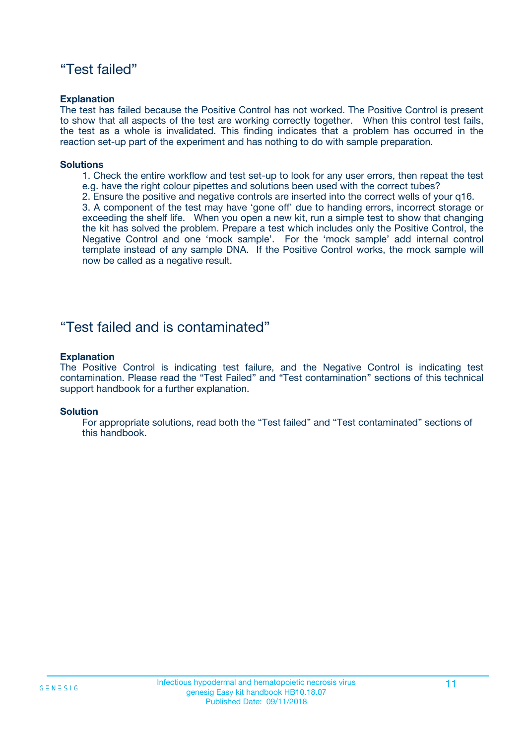### "Test failed"

#### **Explanation**

The test has failed because the Positive Control has not worked. The Positive Control is present to show that all aspects of the test are working correctly together. When this control test fails, the test as a whole is invalidated. This finding indicates that a problem has occurred in the reaction set-up part of the experiment and has nothing to do with sample preparation.

#### **Solutions**

- 1. Check the entire workflow and test set-up to look for any user errors, then repeat the test e.g. have the right colour pipettes and solutions been used with the correct tubes?
- 2. Ensure the positive and negative controls are inserted into the correct wells of your q16.

3. A component of the test may have 'gone off' due to handing errors, incorrect storage or exceeding the shelf life. When you open a new kit, run a simple test to show that changing the kit has solved the problem. Prepare a test which includes only the Positive Control, the Negative Control and one 'mock sample'. For the 'mock sample' add internal control template instead of any sample DNA. If the Positive Control works, the mock sample will now be called as a negative result.

### "Test failed and is contaminated"

#### **Explanation**

The Positive Control is indicating test failure, and the Negative Control is indicating test contamination. Please read the "Test Failed" and "Test contamination" sections of this technical support handbook for a further explanation.

#### **Solution**

For appropriate solutions, read both the "Test failed" and "Test contaminated" sections of this handbook.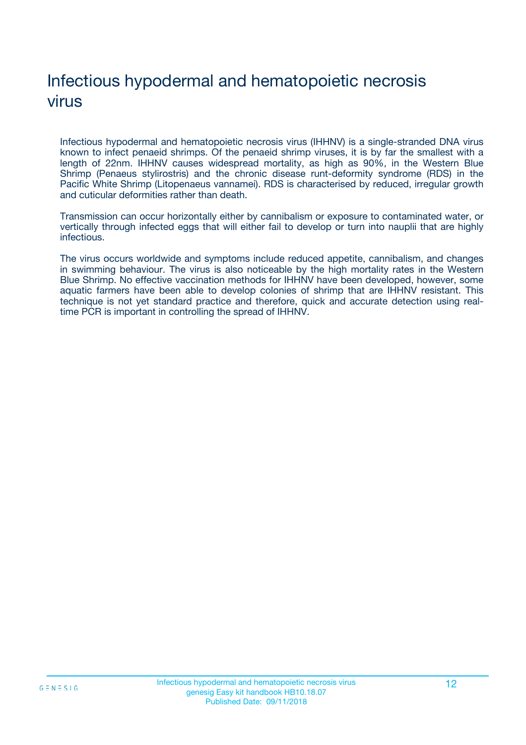# Infectious hypodermal and hematopoietic necrosis virus

Infectious hypodermal and hematopoietic necrosis virus (IHHNV) is a single-stranded DNA virus known to infect penaeid shrimps. Of the penaeid shrimp viruses, it is by far the smallest with a length of 22nm. IHHNV causes widespread mortality, as high as 90%, in the Western Blue Shrimp (Penaeus stylirostris) and the chronic disease runt-deformity syndrome (RDS) in the Pacific White Shrimp (Litopenaeus vannamei). RDS is characterised by reduced, irregular growth and cuticular deformities rather than death.

Transmission can occur horizontally either by cannibalism or exposure to contaminated water, or vertically through infected eggs that will either fail to develop or turn into nauplii that are highly infectious.

The virus occurs worldwide and symptoms include reduced appetite, cannibalism, and changes in swimming behaviour. The virus is also noticeable by the high mortality rates in the Western Blue Shrimp. No effective vaccination methods for IHHNV have been developed, however, some aquatic farmers have been able to develop colonies of shrimp that are IHHNV resistant. This technique is not yet standard practice and therefore, quick and accurate detection using realtime PCR is important in controlling the spread of IHHNV.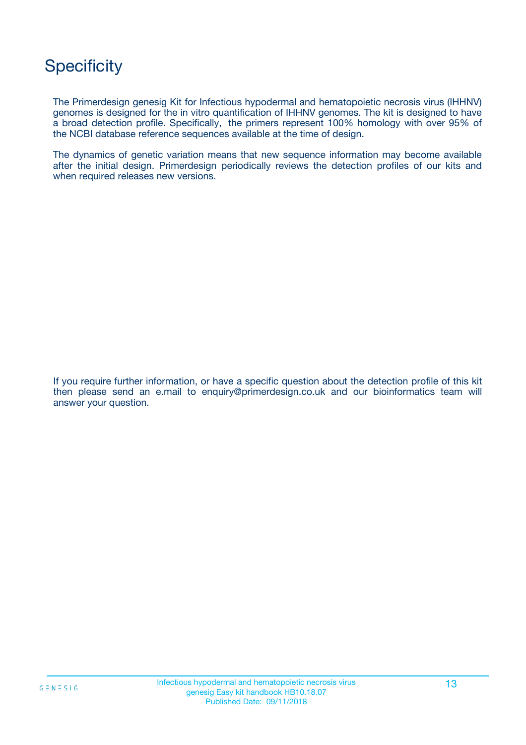# **Specificity**

The Primerdesign genesig Kit for Infectious hypodermal and hematopoietic necrosis virus (IHHNV) genomes is designed for the in vitro quantification of IHHNV genomes. The kit is designed to have a broad detection profile. Specifically, the primers represent 100% homology with over 95% of the NCBI database reference sequences available at the time of design.

The dynamics of genetic variation means that new sequence information may become available after the initial design. Primerdesign periodically reviews the detection profiles of our kits and when required releases new versions.

If you require further information, or have a specific question about the detection profile of this kit then please send an e.mail to enquiry@primerdesign.co.uk and our bioinformatics team will answer your question.